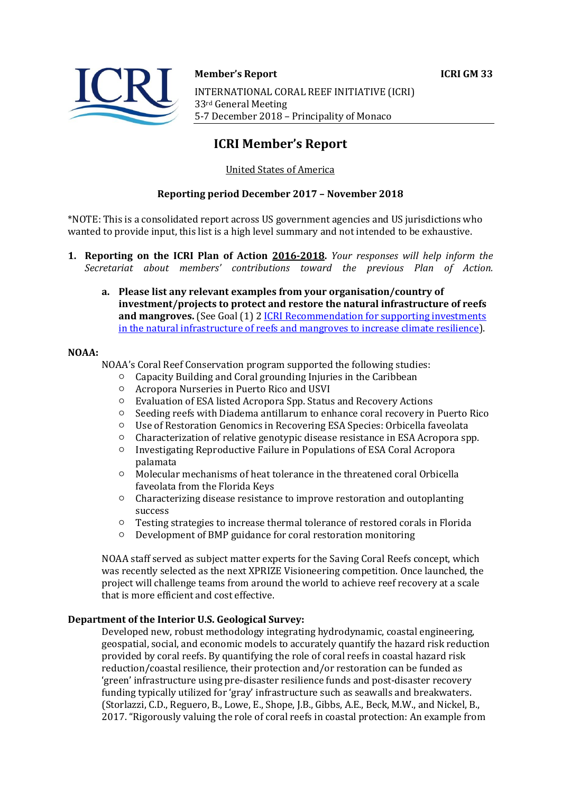## **Member's Report ICRI GM 33**  INTERNATIONAL CORAL REEF INITIATIVE (ICRI) 33rd General Meeting 5-7 December 2018 – Principality of Monaco

## **ICRI Member's Report**

## United States of America

## **Reporting period December 2017 – November 2018**

\*NOTE: This is a consolidated report across US government agencies and US jurisdictions who wanted to provide input, this list is a high level summary and not intended to be exhaustive.

- **1. Reporting on the ICRI Plan of Action 2016-2018.** *Your responses will help inform the Secretariat about members' contributions toward the previous Plan of Action.*
	- **a. Please list any relevant examples from your organisation/country of investment/projects to protect and restore the natural infrastructure of reefs and mangroves.** (See Goal (1) 2 [ICRI Recommendation for supporting investments](https://www.icriforum.org/sites/default/files/ICRI-GM32_RECO_investments_natural_infrastructure-Final.pdf)  [in the natural infrastructure of reefs and mangroves to increase climate resilience\)](https://www.icriforum.org/sites/default/files/ICRI-GM32_RECO_investments_natural_infrastructure-Final.pdf).

## **NOAA:**

- NOAA's Coral Reef Conservation program supported the following studies:<br>  $\circ$  Canacity Building and Coral grounding Injuries in the Caribbean
	- Capacity Building and Coral grounding Injuries in the Caribbean<br>○ Acronora Nurseries in Puerto Rico and USVI
	- Acropora Nurseries in Puerto Rico and USVI
	- Evaluation of ESA listed Acropora Spp. Status and Recovery Actions<br>○ Seeding reefs with Diadema antillarum to enhance coral recovery in
	- Seeding reefs with Diadema antillarum to enhance coral recovery in Puerto Rico<br>○ Ilse of Restoration Genomics in Recovering ESA Species: Orbicella faveolata
	- Use of Restoration Genomics in Recovering ESA Species: Orbicella faveolata
	- Characterization of relative genotypic disease resistance in ESA Acropora spp.<br>○ Investigating Reproductive Failure in Populations of ESA Coral Acropora
	- Investigating Reproductive Failure in Populations of ESA Coral Acropora palamata
	- Molecular mechanisms of heat tolerance in the threatened coral Orbicella faveolata from the Florida Keys
	- Characterizing disease resistance to improve restoration and outoplanting success
	- Testing strategies to increase thermal tolerance of restored corals in Florida
	- Development of BMP guidance for coral restoration monitoring

NOAA staff served as subject matter experts for the Saving Coral Reefs concept, which was recently selected as the next XPRIZE Visioneering competition. Once launched, the project will challenge teams from around the world to achieve reef recovery at a scale that is more efficient and cost effective.

## **Department of the Interior U.S. Geological Survey:**

Developed new, robust methodology integrating hydrodynamic, coastal engineering, geospatial, social, and economic models to accurately quantify the hazard risk reduction provided by coral reefs. By quantifying the role of coral reefs in coastal hazard risk reduction/coastal resilience, their protection and/or restoration can be funded as 'green' infrastructure using pre-disaster resilience funds and post-disaster recovery funding typically utilized for 'gray' infrastructure such as seawalls and breakwaters. (Storlazzi, C.D., Reguero, B., Lowe, E., Shope, J.B., Gibbs, A.E., Beck, M.W., and Nickel, B., 2017. "Rigorously valuing the role of coral reefs in coastal protection: An example from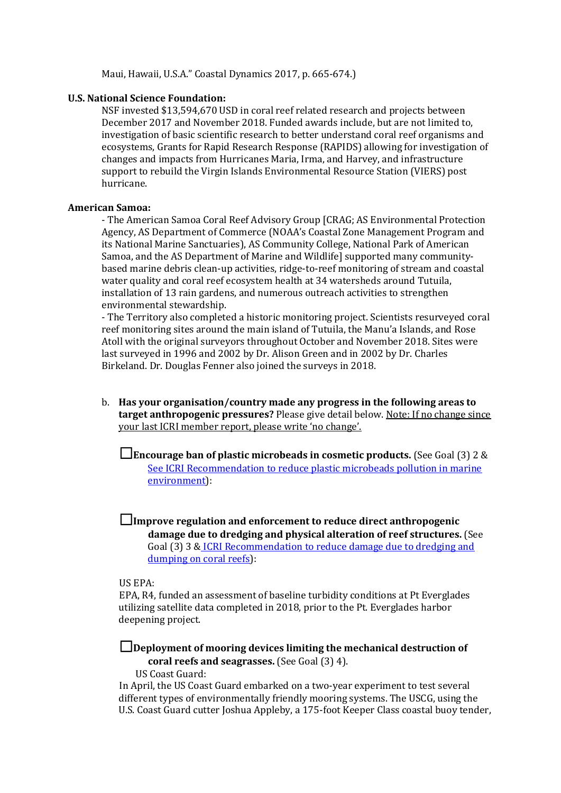Maui, Hawaii, U.S.A." Coastal Dynamics 2017, p. 665-674.)

## **U.S. National Science Foundation:**

NSF invested \$13,594,670 USD in coral reef related research and projects between December 2017 and November 2018. Funded awards include, but are not limited to, investigation of basic scientific research to better understand coral reef organisms and ecosystems, Grants for Rapid Research Response (RAPIDS) allowing for investigation of changes and impacts from Hurricanes Maria, Irma, and Harvey, and infrastructure support to rebuild the Virgin Islands Environmental Resource Station (VIERS) post hurricane.

#### **American Samoa:**

- The American Samoa Coral Reef Advisory Group [CRAG; AS Environmental Protection Agency, AS Department of Commerce (NOAA's Coastal Zone Management Program and its National Marine Sanctuaries), AS Community College, National Park of American Samoa, and the AS Department of Marine and Wildlife] supported many communitybased marine debris clean-up activities, ridge-to-reef monitoring of stream and coastal water quality and coral reef ecosystem health at 34 watersheds around Tutuila, installation of 13 rain gardens, and numerous outreach activities to strengthen environmental stewardship.

- The Territory also completed a historic monitoring project. Scientists resurveyed coral reef monitoring sites around the main island of Tutuila, the Manu'a Islands, and Rose Atoll with the original surveyors throughout October and November 2018. Sites were last surveyed in 1996 and 2002 by Dr. Alison Green and in 2002 by Dr. Charles Birkeland. Dr. Douglas Fenner also joined the surveys in 2018.

b. **Has your organisation/country made any progress in the following areas to target anthropogenic pressures?** Please give detail below. Note: If no change since your last ICRI member report, please write 'no change'.

☐ **Encourage ban of plastic microbeads in cosmetic products.** (See Goal (3) 2 & [See ICRI Recommendation to reduce plastic microbeads pollution in marine](https://www.icriforum.org/sites/default/files/ICRIGM31_Reco_microbeads_0.pdf)  [environment\)](https://www.icriforum.org/sites/default/files/ICRIGM31_Reco_microbeads_0.pdf):

☐ **Improve regulation and enforcement to reduce direct anthropogenic damage due to dredging and physical alteration of reef structures.** (See Goal (3) 3 & [ICRI Recommendation to reduce damage due to dredging and](https://www.icriforum.org/sites/default/files/ICRI-GM32_RECO_Dredging.pdf)  [dumping on coral reefs\)](https://www.icriforum.org/sites/default/files/ICRI-GM32_RECO_Dredging.pdf):

#### US EPA:

EPA, R4, funded an assessment of baseline turbidity conditions at Pt Everglades utilizing satellite data completed in 2018, prior to the Pt. Everglades harbor deepening project.

☐ **Deployment of mooring devices limiting the mechanical destruction of coral reefs and seagrasses.** (See Goal (3) 4). US Coast Guard:

In April, the US Coast Guard embarked on a two-year experiment to test several different types of environmentally friendly mooring systems. The USCG, using the U.S. Coast Guard cutter Joshua Appleby, a 175-foot Keeper Class coastal buoy tender,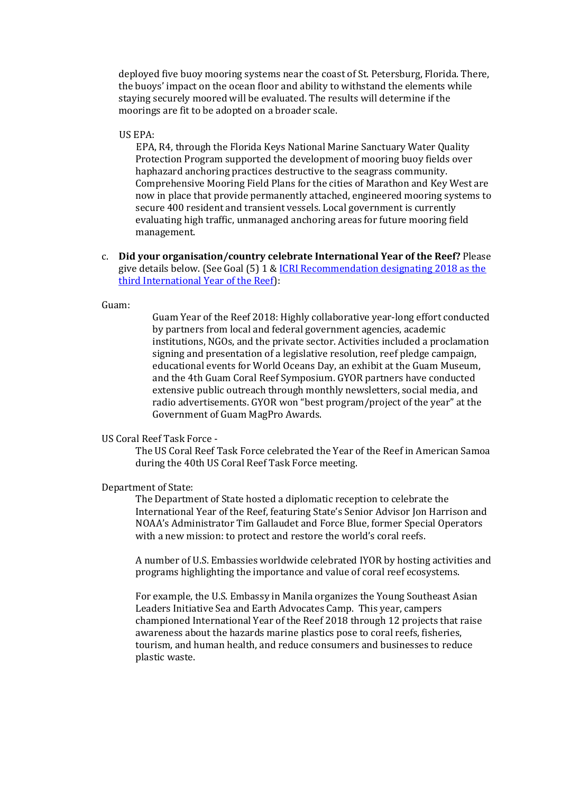deployed five buoy mooring systems near the coast of St. Petersburg, Florida. There, the buoys' impact on the ocean floor and ability to withstand the elements while staying securely moored will be evaluated. The results will determine if the moorings are fit to be adopted on a broader scale.

#### US EPA:

EPA, R4, through the Florida Keys National Marine Sanctuary Water Quality Protection Program supported the development of mooring buoy fields over haphazard anchoring practices destructive to the seagrass community. Comprehensive Mooring Field Plans for the cities of Marathon and Key West are now in place that provide permanently attached, engineered mooring systems to secure 400 resident and transient vessels. Local government is currently evaluating high traffic, unmanaged anchoring areas for future mooring field management.

c. **Did your organisation/country celebrate International Year of the Reef?** Please give details below. (See Goal (5) 1 [& ICRI Recommendation designating 2018 as the](https://www.icriforum.org/sites/default/files/ICRIGM31_Reco_IYOR2018_0.pdf)  [third International Year of the Reef\)](https://www.icriforum.org/sites/default/files/ICRIGM31_Reco_IYOR2018_0.pdf):

## Guam:

Guam Year of the Reef 2018: Highly collaborative year-long effort conducted by partners from local and federal government agencies, academic institutions, NGOs, and the private sector. Activities included a proclamation signing and presentation of a legislative resolution, reef pledge campaign, educational events for World Oceans Day, an exhibit at the Guam Museum, and the 4th Guam Coral Reef Symposium. GYOR partners have conducted extensive public outreach through monthly newsletters, social media, and radio advertisements. GYOR won "best program/project of the year" at the Government of Guam MagPro Awards.

## US Coral Reef Task Force -

The US Coral Reef Task Force celebrated the Year of the Reef in American Samoa during the 40th US Coral Reef Task Force meeting.

#### Department of State:

The Department of State hosted a diplomatic reception to celebrate the International Year of the Reef, featuring State's Senior Advisor Jon Harrison and NOAA's Administrator Tim Gallaudet and Force Blue, former Special Operators with a new mission: to protect and restore the world's coral reefs.

A number of U.S. Embassies worldwide celebrated IYOR by hosting activities and programs highlighting the importance and value of coral reef ecosystems.

For example, the U.S. Embassy in Manila organizes the Young Southeast Asian Leaders Initiative Sea and Earth Advocates Camp. This year, campers championed International Year of the Reef 2018 through 12 projects that raise awareness about the hazards marine plastics pose to coral reefs, fisheries, tourism, and human health, and reduce consumers and businesses to reduce plastic waste.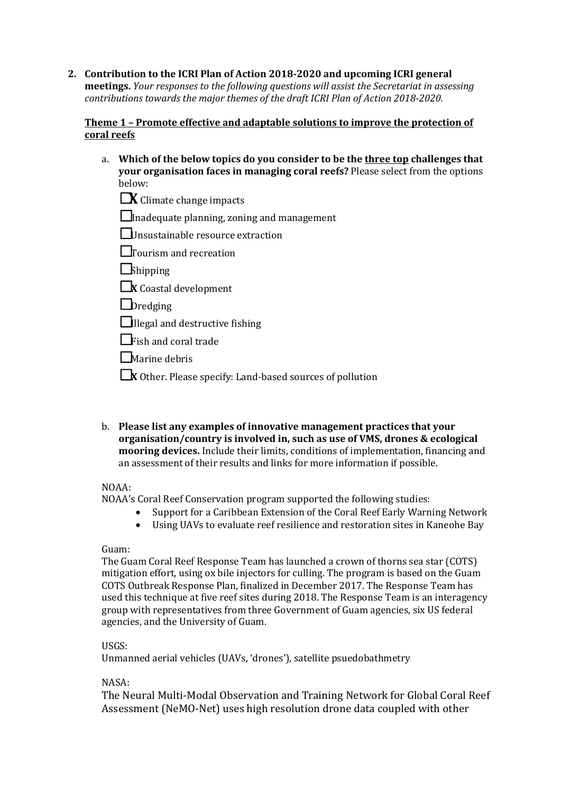**2. Contribution to the ICRI Plan of Action 2018-2020 and upcoming ICRI general meetings.** *Your responses to the following questions will assist the Secretariat in assessing contributions towards the major themes of the draft ICRI Plan of Action 2018-2020.*

## **Theme 1 – Promote effective and adaptable solutions to improve the protection of coral reefs**

a. **Which of the below topics do you consider to be the three top challenges that your organisation faces in managing coral reefs?** Please select from the options below:

**X** Climate change impacts

 $\Box$ Inadequate planning, zoning and management

☐Unsustainable resource extraction

□Tourism and recreation

**□**Shipping

**□X** Coastal development

**<u>Dredging</u>** 

 $\Box$ Illegal and destructive fishing

☐Fish and coral trade

☐Marine debris

☐**<sup>X</sup>**Other. Please specify: Land-based sources of pollution

b. **Please list any examples of innovative management practices that your organisation/country is involved in, such as use of VMS, drones & ecological mooring devices.** Include their limits, conditions of implementation, financing and an assessment of their results and links for more information if possible.

## NOAA:

NOAA's Coral Reef Conservation program supported the following studies:

- Support for a Caribbean Extension of the Coral Reef Early Warning Network
- Using UAVs to evaluate reef resilience and restoration sites in Kaneohe Bay

## Guam:

The Guam Coral Reef Response Team has launched a crown of thorns sea star (COTS) mitigation effort, using ox bile injectors for culling. The program is based on the Guam COTS Outbreak Response Plan, finalized in December 2017. The Response Team has used this technique at five reef sites during 2018. The Response Team is an interagency group with representatives from three Government of Guam agencies, six US federal agencies, and the University of Guam.

## USGS:

Unmanned aerial vehicles (UAVs, 'drones'), satellite psuedobathmetry

## NASA:

The Neural Multi-Modal Observation and Training Network for Global Coral Reef Assessment (NeMO-Net) uses high resolution drone data coupled with other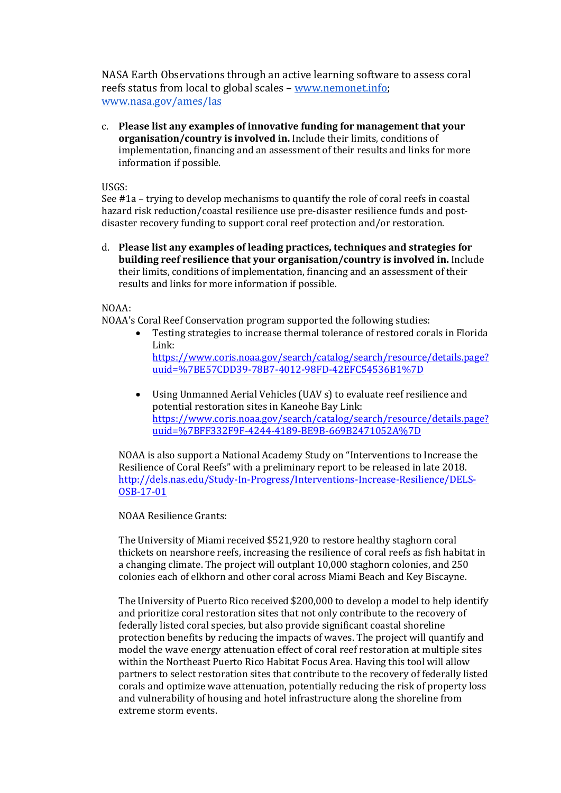NASA Earth Observations through an active learning softw[are to assess coral](http://www.nasa.gov/ames/las)  reefs status from local to global scales – [www.nemonet.info;](http://www.nemonet.info/) [www.nasa.gov/ames/las](http://www.nasa.gov/ames/las)

c. **Please list any examples of innovative funding for management that your organisation/country is involved in.** Include their limits, conditions of implementation, financing and an assessment of their results and links for more information if possible.

USGS:

See #1a – trying to develop mechanisms to quantify the role of coral reefs in coastal hazard risk reduction/coastal resilience use pre-disaster resilience funds and postdisaster recovery funding to support coral reef protection and/or restoration.

d. **Please list any examples of leading practices, techniques and strategies for building reef resilience that your organisation/country is involved in.** Include their limits, conditions of implementation, financing and an assessment of their results and links for more information if possible.

NOAA:

NOAA's Coral Reef Conservation program supported the following studies:<br>• Testing strategies to increase thermal tolerance of restored cora

- Testing strategies to increase thermal tolerance of restored corals in Florida Link: [https://www.coris.noaa.gov/search/catalog/search/resource/details.page?](https://www.coris.noaa.gov/search/catalog/search/resource/details.page?uuid=%7BE57CDD39-78B7-4012-98FD-42EFC54536B1%7D) [uuid=%7BE57CDD39-78B7-4012-98FD-42EFC54536B1%7D](https://www.coris.noaa.gov/search/catalog/search/resource/details.page?uuid=%7BE57CDD39-78B7-4012-98FD-42EFC54536B1%7D)
- Using Unmanned Aerial Vehicles (UAV s) to evaluate reef resilience and potential restoration sites in Kaneohe Bay Link: [https://www.coris.noaa.gov/search/catalog/search/resource/details.page?](https://www.coris.noaa.gov/search/catalog/search/resource/details.page?uuid=%7BFF332F9F-4244-4189-BE9B-669B2471052A%7D) [uuid=%7BFF332F9F-4244-4189-BE9B-669B2471052A%7D](https://www.coris.noaa.gov/search/catalog/search/resource/details.page?uuid=%7BFF332F9F-4244-4189-BE9B-669B2471052A%7D)

NOAA is also support a National Academy Study on "Interventions to Increase the Resilience of Coral Reefs" with a preliminary report to be released in late 2018. [http://dels.nas.edu/Study-In-Progress/Interventions-Increase-Resilience/DELS-](http://dels.nas.edu/Study-In-Progress/Interventions-Increase-Resilience/DELS-OSB-17-01)[OSB-17-01](http://dels.nas.edu/Study-In-Progress/Interventions-Increase-Resilience/DELS-OSB-17-01)

NOAA Resilience Grants:

The University of Miami received \$521,920 to restore healthy staghorn coral thickets on nearshore reefs, increasing the resilience of coral reefs as fish habitat in a changing climate. The project will outplant 10,000 staghorn colonies, and 250 colonies each of elkhorn and other coral across Miami Beach and Key Biscayne.

The University of Puerto Rico received \$200,000 to develop a model to help identify and prioritize coral restoration sites that not only contribute to the recovery of federally listed coral species, but also provide significant coastal shoreline protection benefits by reducing the impacts of waves. The project will quantify and model the wave energy attenuation effect of coral reef restoration at multiple sites within the Northeast Puerto Rico Habitat Focus Area. Having this tool will allow partners to select restoration sites that contribute to the recovery of federally listed corals and optimize wave attenuation, potentially reducing the risk of property loss and vulnerability of housing and hotel infrastructure along the shoreline from extreme storm events.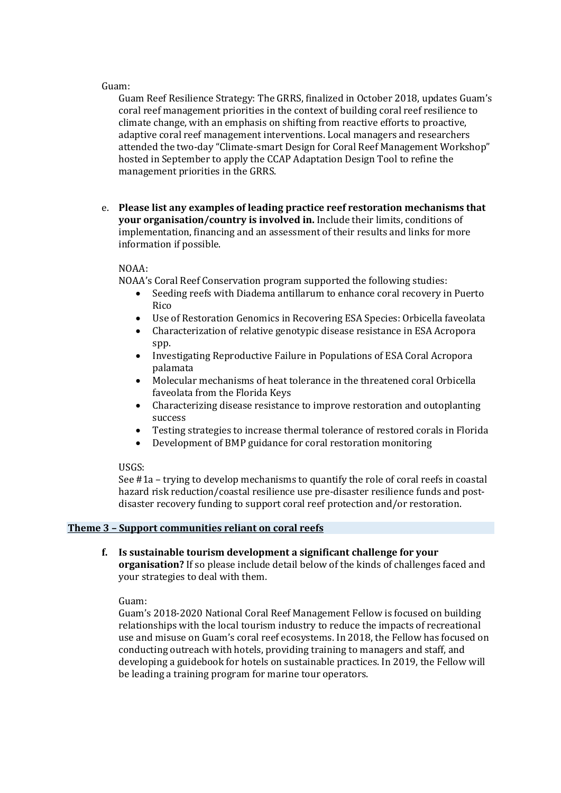#### Guam:

Guam Reef Resilience Strategy: The GRRS, finalized in October 2018, updates Guam's coral reef management priorities in the context of building coral reef resilience to climate change, with an emphasis on shifting from reactive efforts to proactive, adaptive coral reef management interventions. Local managers and researchers attended the two-day "Climate-smart Design for Coral Reef Management Workshop" hosted in September to apply the CCAP Adaptation Design Tool to refine the management priorities in the GRRS.

e. **Please list any examples of leading practice reef restoration mechanisms that your organisation/country is involved in.** Include their limits, conditions of implementation, financing and an assessment of their results and links for more information if possible.

## NOAA:

NOAA's Coral Reef Conservation program supported the following studies:

- Seeding reefs with Diadema antillarum to enhance coral recovery in Puerto Rico
- Use of Restoration Genomics in Recovering ESA Species: Orbicella faveolata
- Characterization of relative genotypic disease resistance in ESA Acropora spp.
- Investigating Reproductive Failure in Populations of ESA Coral Acropora palamata
- Molecular mechanisms of heat tolerance in the threatened coral Orbicella faveolata from the Florida Keys
- Characterizing disease resistance to improve restoration and outoplanting success
- Testing strategies to increase thermal tolerance of restored corals in Florida
- Development of BMP guidance for coral restoration monitoring

## USGS:

See #1a – trying to develop mechanisms to quantify the role of coral reefs in coastal hazard risk reduction/coastal resilience use pre-disaster resilience funds and postdisaster recovery funding to support coral reef protection and/or restoration.

## **Theme 3 – Support communities reliant on coral reefs**

**f. Is sustainable tourism development a significant challenge for your organisation?** If so please include detail below of the kinds of challenges faced and your strategies to deal with them.

Guam:

Guam's 2018-2020 National Coral Reef Management Fellow is focused on building relationships with the local tourism industry to reduce the impacts of recreational use and misuse on Guam's coral reef ecosystems. In 2018, the Fellow has focused on conducting outreach with hotels, providing training to managers and staff, and developing a guidebook for hotels on sustainable practices. In 2019, the Fellow will be leading a training program for marine tour operators.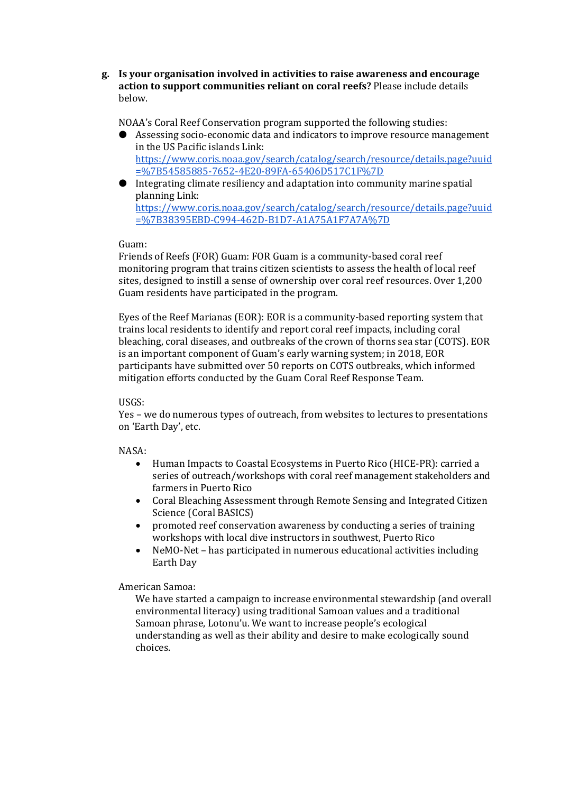**g. Is your organisation involved in activities to raise awareness and encourage action to support communities reliant on coral reefs?** Please include details below.

NOAA's Coral Reef Conservation program supported the following studies:

- Assessing socio-economic data and indicators to improve resource management in the US Pacific islands Link: [https://www.coris.noaa.gov/search/catalog/search/resource/details.page?uuid](https://www.coris.noaa.gov/search/catalog/search/resource/details.page?uuid=%7B54585885-7652-4E20-89FA-65406D517C1F%7D) [=%7B54585885-7652-4E20-89FA-65406D517C1F%7D](https://www.coris.noaa.gov/search/catalog/search/resource/details.page?uuid=%7B54585885-7652-4E20-89FA-65406D517C1F%7D)
- Integrating climate resiliency and adaptation into community marine spatial planning Link: [https://www.coris.noaa.gov/search/catalog/search/resource/details.page?uuid](https://www.coris.noaa.gov/search/catalog/search/resource/details.page?uuid=%7B38395EBD-C994-462D-B1D7-A1A75A1F7A7A%7D) [=%7B38395EBD-C994-462D-B1D7-A1A75A1F7A7A%7D](https://www.coris.noaa.gov/search/catalog/search/resource/details.page?uuid=%7B38395EBD-C994-462D-B1D7-A1A75A1F7A7A%7D)

Guam:

Friends of Reefs (FOR) Guam: FOR Guam is a community-based coral reef monitoring program that trains citizen scientists to assess the health of local reef sites, designed to instill a sense of ownership over coral reef resources. Over 1,200 Guam residents have participated in the program.

Eyes of the Reef Marianas (EOR): EOR is a community-based reporting system that trains local residents to identify and report coral reef impacts, including coral bleaching, coral diseases, and outbreaks of the crown of thorns sea star (COTS). EOR is an important component of Guam's early warning system; in 2018, EOR participants have submitted over 50 reports on COTS outbreaks, which informed mitigation efforts conducted by the Guam Coral Reef Response Team.

## USGS:

Yes – we do numerous types of outreach, from websites to lectures to presentations on 'Earth Day', etc.

# NASA:

- Human Impacts to Coastal Ecosystems in Puerto Rico (HICE-PR): carried a series of outreach/workshops with coral reef management stakeholders and farmers in Puerto Rico
- Coral Bleaching Assessment through Remote Sensing and Integrated Citizen Science (Coral BASICS)
- promoted reef conservation awareness by conducting a series of training workshops with local dive instructors in southwest, Puerto Rico
- NeMO-Net has participated in numerous educational activities including Earth Day

American Samoa:

We have started a campaign to increase environmental stewardship (and overall environmental literacy) using traditional Samoan values and a traditional Samoan phrase, Lotonu'u. We want to increase people's ecological understanding as well as their ability and desire to make ecologically sound choices.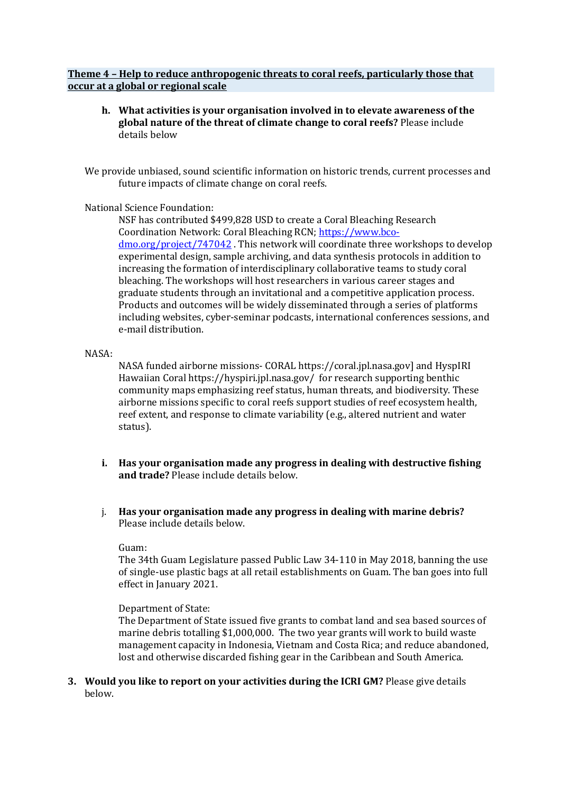## **Theme 4 – Help to reduce anthropogenic threats to coral reefs, particularly those that occur at a global or regional scale**

**h. What activities is your organisation involved in to elevate awareness of the global nature of the threat of climate change to coral reefs?** Please include details below

We provide unbiased, sound scientific information on historic trends, current processes and future impacts of climate change on coral reefs.

## National Science Foundation:

NSF has contributed \$499,828 USD to create a Coral Bleaching Research Coordination Network: Coral Bleaching RCN[; https://www.bco](https://www.bco-dmo.org/project/747042)[dmo.org/project/747042](https://www.bco-dmo.org/project/747042) . This network will coordinate three workshops to develop experimental design, sample archiving, and data synthesis protocols in addition to increasing the formation of interdisciplinary collaborative teams to study coral bleaching. The workshops will host researchers in various career stages and graduate students through an invitational and a competitive application process. Products and outcomes will be widely disseminated through a series of platforms including websites, cyber-seminar podcasts, international conferences sessions, and e-mail distribution.

## NASA:

NASA funded airborne missions- CORAL https://coral.jpl.nasa.gov] and HyspIRI Hawaiian Coral https://hyspiri.jpl.nasa.gov/ for research supporting benthic community maps emphasizing reef status, human threats, and biodiversity. These airborne missions specific to coral reefs support studies of reef ecosystem health, reef extent, and response to climate variability (e.g., altered nutrient and water status).

- **i. Has your organisation made any progress in dealing with destructive fishing and trade?** Please include details below.
- j. **Has your organisation made any progress in dealing with marine debris?**  Please include details below.

## Guam:

The 34th Guam Legislature passed Public Law 34-110 in May 2018, banning the use of single-use plastic bags at all retail establishments on Guam. The ban goes into full effect in January 2021.

## Department of State:

The Department of State issued five grants to combat land and sea based sources of marine debris totalling \$1,000,000. The two year grants will work to build waste management capacity in Indonesia, Vietnam and Costa Rica; and reduce abandoned, lost and otherwise discarded fishing gear in the Caribbean and South America.

**3. Would you like to report on your activities during the ICRI GM?** Please give details below.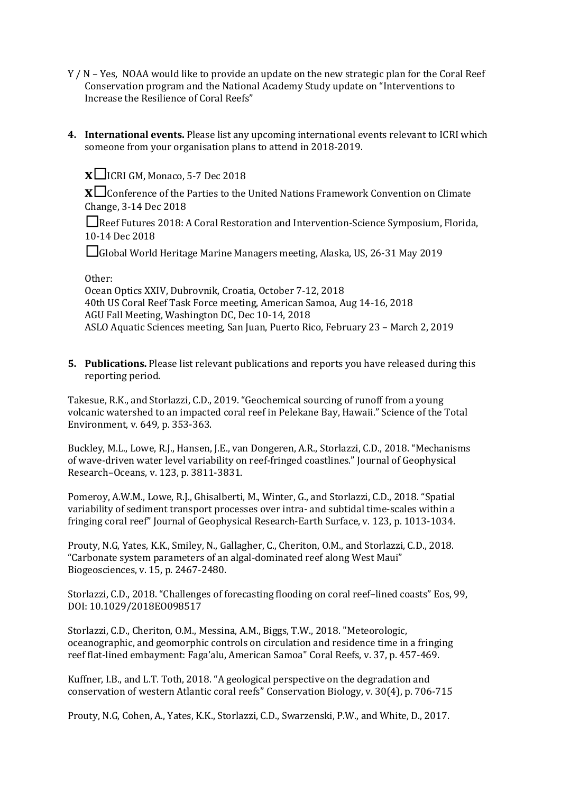- Y / N Yes, NOAA would like to provide an update on the new strategic plan for the Coral Reef Conservation program and the National Academy Study update on "Interventions to Increase the Resilience of Coral Reefs"
- **4. International events.** Please list any upcoming international events relevant to ICRI which someone from your organisation plans to attend in 2018-2019.

**x**☐ICRI GM, Monaco, 5-7 Dec 2018

**x**□ Conference of the Parties to the United Nations Framework Convention on Climate Change, 3-14 Dec 2018

☐Reef Futures 2018: A Coral Restoration and Intervention-Science Symposium, Florida, 10-14 Dec 2018

☐Global World Heritage Marine Managers meeting, Alaska, US, 26-31 May 2019

## Other:

Ocean Optics XXIV, Dubrovnik, Croatia, October 7-12, 2018 40th US Coral Reef Task Force meeting, American Samoa, Aug 14-16, 2018 AGU Fall Meeting, Washington DC, Dec 10-14, 2018 ASLO Aquatic Sciences meeting, San Juan, Puerto Rico, February 23 – March 2, 2019

**5. Publications.** Please list relevant publications and reports you have released during this reporting period.

Takesue, R.K., and Storlazzi, C.D., 2019. "Geochemical sourcing of runoff from a young volcanic watershed to an impacted coral reef in Pelekane Bay, Hawaii." Science of the Total Environment, v. 649, p. 353-363.

Buckley, M.L., Lowe, R.J., Hansen, J.E., van Dongeren, A.R., Storlazzi, C.D., 2018. "Mechanisms of wave-driven water level variability on reef-fringed coastlines." Journal of Geophysical Research–Oceans, v. 123, p. 3811-3831.

Pomeroy, A.W.M., Lowe, R.J., Ghisalberti, M., Winter, G., and Storlazzi, C.D., 2018. "Spatial variability of sediment transport processes over intra- and subtidal time-scales within a fringing coral reef" Journal of Geophysical Research-Earth Surface, v. 123, p. 1013-1034.

Prouty, N.G, Yates, K.K., Smiley, N., Gallagher, C., Cheriton, O.M., and Storlazzi, C.D., 2018. "Carbonate system parameters of an algal-dominated reef along West Maui" Biogeosciences, v. 15, p. 2467-2480.

Storlazzi, C.D., 2018. "Challenges of forecasting flooding on coral reef–lined coasts" Eos, 99, DOI: 10.1029/2018EO098517

Storlazzi, C.D., Cheriton, O.M., Messina, A.M., Biggs, T.W., 2018. "Meteorologic, oceanographic, and geomorphic controls on circulation and residence time in a fringing reef flat-lined embayment: Faga'alu, American Samoa" Coral Reefs, v. 37, p. 457-469.

Kuffner, I.B., and L.T. Toth, 2018. "A geological perspective on the degradation and conservation of western Atlantic coral reefs" Conservation Biology, v. 30(4), p. 706-715

Prouty, N.G, Cohen, A., Yates, K.K., Storlazzi, C.D., Swarzenski, P.W., and White, D., 2017.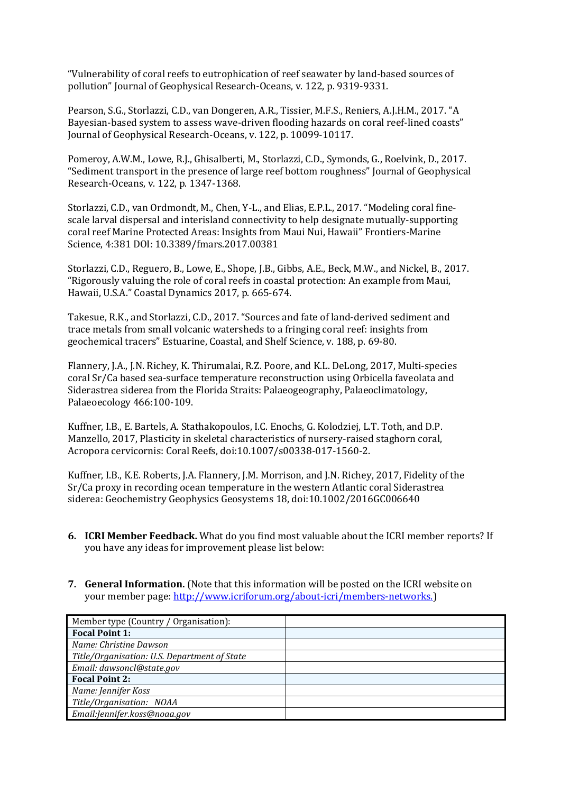"Vulnerability of coral reefs to eutrophication of reef seawater by land-based sources of pollution" Journal of Geophysical Research-Oceans, v. 122, p. 9319-9331.

Pearson, S.G., Storlazzi, C.D., van Dongeren, A.R., Tissier, M.F.S., Reniers, A.J.H.M., 2017. "A Bayesian-based system to assess wave-driven flooding hazards on coral reef-lined coasts" Journal of Geophysical Research-Oceans, v. 122, p. 10099-10117.

Pomeroy, A.W.M., Lowe, R.J., Ghisalberti, M., Storlazzi, C.D., Symonds, G., Roelvink, D., 2017. "Sediment transport in the presence of large reef bottom roughness" Journal of Geophysical Research-Oceans, v. 122, p. 1347-1368.

Storlazzi, C.D., van Ordmondt, M., Chen, Y-L., and Elias, E.P.L., 2017. "Modeling coral finescale larval dispersal and interisland connectivity to help designate mutually-supporting coral reef Marine Protected Areas: Insights from Maui Nui, Hawaii" Frontiers-Marine Science, 4:381 DOI: 10.3389/fmars.2017.00381

Storlazzi, C.D., Reguero, B., Lowe, E., Shope, J.B., Gibbs, A.E., Beck, M.W., and Nickel, B., 2017. "Rigorously valuing the role of coral reefs in coastal protection: An example from Maui, Hawaii, U.S.A." Coastal Dynamics 2017, p. 665-674.

Takesue, R.K., and Storlazzi, C.D., 2017. "Sources and fate of land-derived sediment and trace metals from small volcanic watersheds to a fringing coral reef: insights from geochemical tracers" Estuarine, Coastal, and Shelf Science, v. 188, p. 69-80.

Flannery, J.A., J.N. Richey, K. Thirumalai, R.Z. Poore, and K.L. DeLong, 2017, Multi-species coral Sr/Ca based sea-surface temperature reconstruction using Orbicella faveolata and Siderastrea siderea from the Florida Straits: Palaeogeography, Palaeoclimatology, Palaeoecology 466:100-109.

Kuffner, I.B., E. Bartels, A. Stathakopoulos, I.C. Enochs, G. Kolodziej, L.T. Toth, and D.P. Manzello, 2017, Plasticity in skeletal characteristics of nursery-raised staghorn coral, Acropora cervicornis: Coral Reefs, doi:10.1007/s00338-017-1560-2.

Kuffner, I.B., K.E. Roberts, J.A. Flannery, J.M. Morrison, and J.N. Richey, 2017, Fidelity of the Sr/Ca proxy in recording ocean temperature in the western Atlantic coral Siderastrea siderea: Geochemistry Geophysics Geosystems 18, doi:10.1002/2016GC006640

- **6. ICRI Member Feedback.** What do you find most valuable about the ICRI member reports? If you have any ideas for improvement please list below:
- **7. General Information.** (Note that this information will be posted on the ICRI website on your member page: [http://www.icriforum.org/about-icri/members-networks.\)](http://www.icriforum.org/about-icri/members-networks)

| Member type (Country / Organisation):        |  |
|----------------------------------------------|--|
| <b>Focal Point 1:</b>                        |  |
| Name: Christine Dawson                       |  |
| Title/Organisation: U.S. Department of State |  |
| Email: dawsoncl@state.gov                    |  |
| <b>Focal Point 2:</b>                        |  |
| Name: Jennifer Koss                          |  |
| Title/Organisation: NOAA                     |  |
| Email:Jennifer.koss@noaa.gov                 |  |